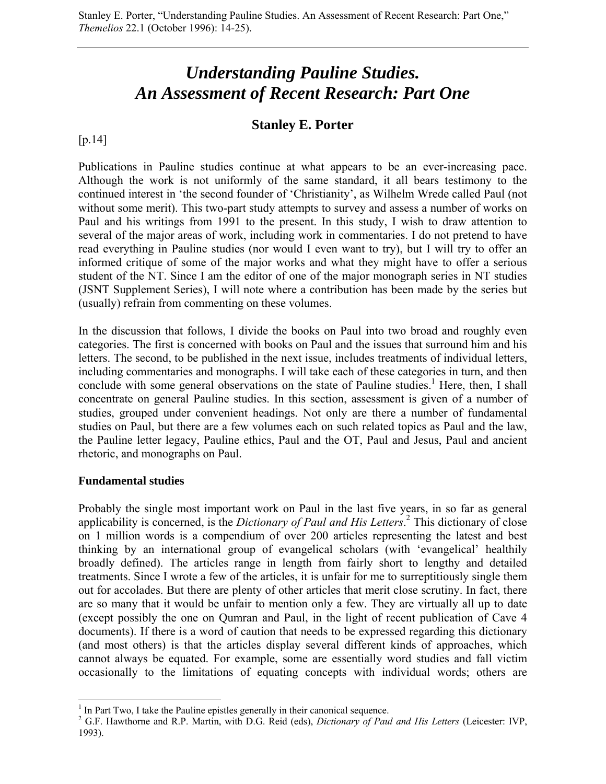# *Understanding Pauline Studies. An Assessment of Recent Research: Part One*

# **Stanley E. Porter**

[p.14]

Publications in Pauline studies continue at what appears to be an ever-increasing pace. Although the work is not uniformly of the same standard, it all bears testimony to the continued interest in 'the second founder of 'Christianity', as Wilhelm Wrede called Paul (not without some merit). This two-part study attempts to survey and assess a number of works on Paul and his writings from 1991 to the present. In this study, I wish to draw attention to several of the major areas of work, including work in commentaries. I do not pretend to have read everything in Pauline studies (nor would I even want to try), but I will try to offer an informed critique of some of the major works and what they might have to offer a serious student of the NT. Since I am the editor of one of the major monograph series in NT studies (JSNT Supplement Series), I will note where a contribution has been made by the series but (usually) refrain from commenting on these volumes.

In the discussion that follows, I divide the books on Paul into two broad and roughly even categories. The first is concerned with books on Paul and the issues that surround him and his letters. The second, to be published in the next issue, includes treatments of individual letters, including commentaries and monographs. I will take each of these categories in turn, and then conclude with some general observations on the state of Pauline studies.<sup>1</sup> Here, then, I shall concentrate on general Pauline studies. In this section, assessment is given of a number of studies, grouped under convenient headings. Not only are there a number of fundamental studies on Paul, but there are a few volumes each on such related topics as Paul and the law, the Pauline letter legacy, Pauline ethics, Paul and the OT, Paul and Jesus, Paul and ancient rhetoric, and monographs on Paul.

#### **Fundamental studies**

 $\overline{a}$ 

Probably the single most important work on Paul in the last five years, in so far as general applicability is concerned, is the *Dictionary of Paul and His Letters*. 2 This dictionary of close on 1 million words is a compendium of over 200 articles representing the latest and best thinking by an international group of evangelical scholars (with 'evangelical' healthily broadly defined). The articles range in length from fairly short to lengthy and detailed treatments. Since I wrote a few of the articles, it is unfair for me to surreptitiously single them out for accolades. But there are plenty of other articles that merit close scrutiny. In fact, there are so many that it would be unfair to mention only a few. They are virtually all up to date (except possibly the one on Qumran and Paul, in the light of recent publication of Cave 4 documents). If there is a word of caution that needs to be expressed regarding this dictionary (and most others) is that the articles display several different kinds of approaches, which cannot always be equated. For example, some are essentially word studies and fall victim occasionally to the limitations of equating concepts with individual words; others are

<sup>&</sup>lt;sup>1</sup> In Part Two, I take the Pauline epistles generally in their canonical sequence.

G.F. Hawthorne and R.P. Martin, with D.G. Reid (eds), *Dictionary of Paul and His Letters* (Leicester: IVP, 1993).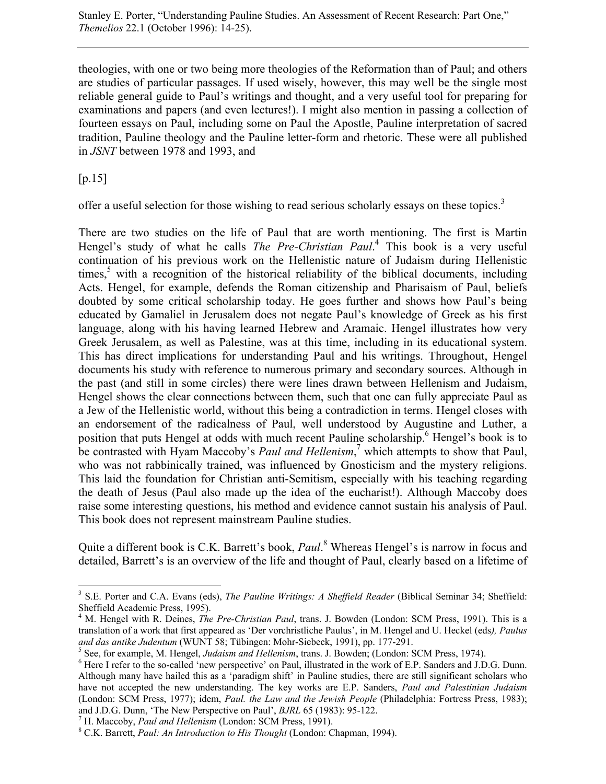theologies, with one or two being more theologies of the Reformation than of Paul; and others are studies of particular passages. If used wisely, however, this may well be the single most reliable general guide to Paul's writings and thought, and a very useful tool for preparing for examinations and papers (and even lectures!). I might also mention in passing a collection of fourteen essays on Paul, including some on Paul the Apostle, Pauline interpretation of sacred tradition, Pauline theology and the Pauline letter-form and rhetoric. These were all published in *JSNT* between 1978 and 1993, and

 $[p.15]$ 

 $\overline{a}$ 

offer a useful selection for those wishing to read serious scholarly essays on these topics.<sup>3</sup>

There are two studies on the life of Paul that are worth mentioning. The first is Martin Hengel's study of what he calls *The Pre-Christian Paul*. 4 This book is a very useful continuation of his previous work on the Hellenistic nature of Judaism during Hellenistic times,<sup>5</sup> with a recognition of the historical reliability of the biblical documents, including Acts. Hengel, for example, defends the Roman citizenship and Pharisaism of Paul, beliefs doubted by some critical scholarship today. He goes further and shows how Paul's being educated by Gamaliel in Jerusalem does not negate Paul's knowledge of Greek as his first language, along with his having learned Hebrew and Aramaic. Hengel illustrates how very Greek Jerusalem, as well as Palestine, was at this time, including in its educational system. This has direct implications for understanding Paul and his writings. Throughout, Hengel documents his study with reference to numerous primary and secondary sources. Although in the past (and still in some circles) there were lines drawn between Hellenism and Judaism, Hengel shows the clear connections between them, such that one can fully appreciate Paul as a Jew of the Hellenistic world, without this being a contradiction in terms. Hengel closes with an endorsement of the radicalness of Paul, well understood by Augustine and Luther, a position that puts Hengel at odds with much recent Pauline scholarship.<sup>6</sup> Hengel's book is to be contrasted with Hyam Maccoby's *Paul and Hellenism*, 7 which attempts to show that Paul, who was not rabbinically trained, was influenced by Gnosticism and the mystery religions. This laid the foundation for Christian anti-Semitism, especially with his teaching regarding the death of Jesus (Paul also made up the idea of the eucharist!). Although Maccoby does raise some interesting questions, his method and evidence cannot sustain his analysis of Paul. This book does not represent mainstream Pauline studies.

Quite a different book is C.K. Barrett's book, *Paul*. 8 Whereas Hengel's is narrow in focus and detailed, Barrett's is an overview of the life and thought of Paul, clearly based on a lifetime of

<sup>&</sup>lt;sup>3</sup> S.E. Porter and C.A. Evans (eds), *The Pauline Writings: A Sheffield Reader* (Biblical Seminar 34; Sheffield: Sheffield Academic Press, 1995).

<sup>&</sup>lt;sup>4</sup> M. Hengel with R. Deines, *The Pre-Christian Paul*, trans. J. Bowden (London: SCM Press, 1991). This is a translation of a work that first appeared as 'Der vorchristliche Paulus', in M. Hengel and U. Heckel (eds*), Paulus and das antike Judentum* (WUNT 58; Tübingen: Mohr-Siebeck, 1991), pp. 177-291. <sup>5</sup>

<sup>&</sup>lt;sup>5</sup> See, for example, M. Hengel, *Judaism and Hellenism*, trans. J. Bowden; (London: SCM Press, 1974).

<sup>&</sup>lt;sup>6</sup> Here I refer to the so-called 'new perspective' on Paul, illustrated in the work of E.P. Sanders and J.D.G. Dunn. Although many have hailed this as a 'paradigm shift' in Pauline studies, there are still significant scholars who have not accepted the new understanding. The key works are E.P. Sanders, *Paul and Palestinian Judaism* (London: SCM Press, 1977); idem, *Paul. the Law and the Jewish People* (Philadelphia: Fortress Press, 1983); and J.D.G. Dunn, 'The New Perspective on Paul', *BJRL* 65 (1983): 95-122. <sup>7</sup>

<sup>&</sup>lt;sup>7</sup> H. Maccoby, *Paul and Hellenism* (London: SCM Press, 1991).

C.K. Barrett, *Paul: An Introduction to His Thought* (London: Chapman, 1994).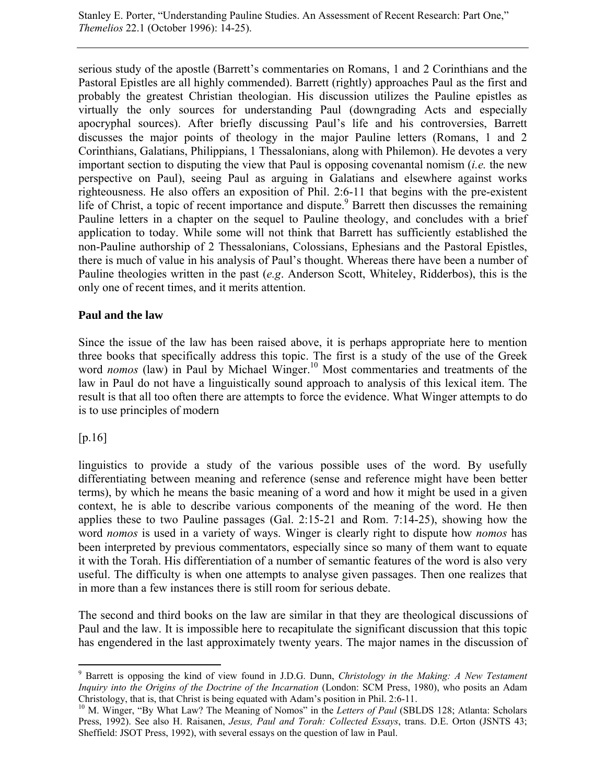serious study of the apostle (Barrett's commentaries on Romans, 1 and 2 Corinthians and the Pastoral Epistles are all highly commended). Barrett (rightly) approaches Paul as the first and probably the greatest Christian theologian. His discussion utilizes the Pauline epistles as virtually the only sources for understanding Paul (downgrading Acts and especially apocryphal sources). After briefly discussing Paul's life and his controversies, Barrett discusses the major points of theology in the major Pauline letters (Romans, 1 and 2 Corinthians, Galatians, Philippians, 1 Thessalonians, along with Philemon). He devotes a very important section to disputing the view that Paul is opposing covenantal nomism (*i.e.* the new perspective on Paul), seeing Paul as arguing in Galatians and elsewhere against works righteousness. He also offers an exposition of Phil. 2:6-11 that begins with the pre-existent life of Christ, a topic of recent importance and dispute.<sup>9</sup> Barrett then discusses the remaining Pauline letters in a chapter on the sequel to Pauline theology, and concludes with a brief application to today. While some will not think that Barrett has sufficiently established the non-Pauline authorship of 2 Thessalonians, Colossians, Ephesians and the Pastoral Epistles, there is much of value in his analysis of Paul's thought. Whereas there have been a number of Pauline theologies written in the past (*e.g*. Anderson Scott, Whiteley, Ridderbos), this is the only one of recent times, and it merits attention.

#### **Paul and the law**

Since the issue of the law has been raised above, it is perhaps appropriate here to mention three books that specifically address this topic. The first is a study of the use of the Greek word *nomos* (law) in Paul by Michael Winger.<sup>10</sup> Most commentaries and treatments of the law in Paul do not have a linguistically sound approach to analysis of this lexical item. The result is that all too often there are attempts to force the evidence. What Winger attempts to do is to use principles of modern

#### [p.16]

 $\overline{a}$ 

linguistics to provide a study of the various possible uses of the word. By usefully differentiating between meaning and reference (sense and reference might have been better terms), by which he means the basic meaning of a word and how it might be used in a given context, he is able to describe various components of the meaning of the word. He then applies these to two Pauline passages (Gal. 2:15-21 and Rom. 7:14-25), showing how the word *nomos* is used in a variety of ways. Winger is clearly right to dispute how *nomos* has been interpreted by previous commentators, especially since so many of them want to equate it with the Torah. His differentiation of a number of semantic features of the word is also very useful. The difficulty is when one attempts to analyse given passages. Then one realizes that in more than a few instances there is still room for serious debate.

The second and third books on the law are similar in that they are theological discussions of Paul and the law. It is impossible here to recapitulate the significant discussion that this topic has engendered in the last approximately twenty years. The major names in the discussion of

<sup>9</sup> Barrett is opposing the kind of view found in J.D.G. Dunn, *Christology in the Making: A New Testament Inquiry into the Origins of the Doctrine of the Incarnation* (London: SCM Press, 1980), who posits an Adam Christology, that is, that Christ is being equated with Adam's position in Phil. 2:6-11.

<sup>&</sup>lt;sup>10</sup> M. Winger, "By What Law? The Meaning of Nomos" in the *Letters of Paul* (SBLDS 128; Atlanta: Scholars Press, 1992). See also H. Raisanen, *Jesus, Paul and Torah: Collected Essays*, trans. D.E. Orton (JSNTS 43; Sheffield: JSOT Press, 1992), with several essays on the question of law in Paul.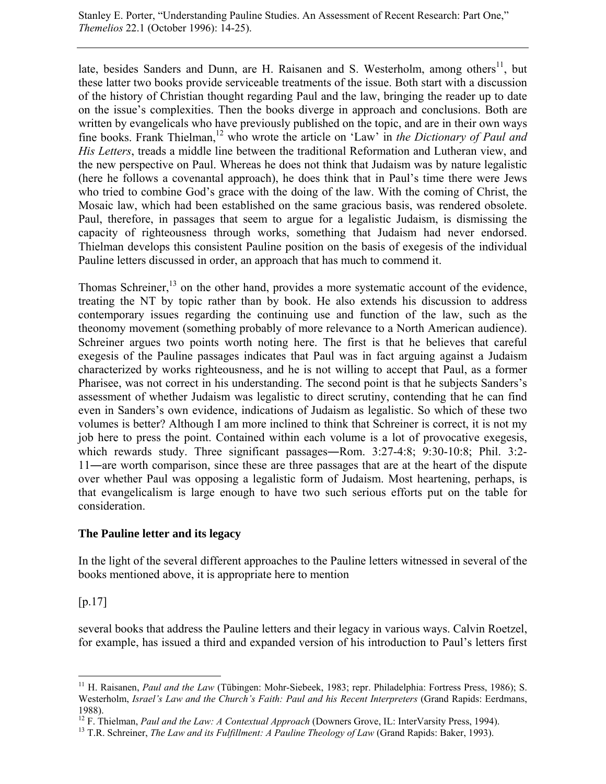late, besides Sanders and Dunn, are H. Raisanen and S. Westerholm, among others<sup>11</sup>, but these latter two books provide serviceable treatments of the issue. Both start with a discussion of the history of Christian thought regarding Paul and the law, bringing the reader up to date on the issue's complexities. Then the books diverge in approach and conclusions. Both are written by evangelicals who have previously published on the topic, and are in their own ways fine books. Frank Thielman,12 who wrote the article on 'Law' in *the Dictionary of Paul and His Letters*, treads a middle line between the traditional Reformation and Lutheran view, and the new perspective on Paul. Whereas he does not think that Judaism was by nature legalistic (here he follows a covenantal approach), he does think that in Paul's time there were Jews who tried to combine God's grace with the doing of the law. With the coming of Christ, the Mosaic law, which had been established on the same gracious basis, was rendered obsolete. Paul, therefore, in passages that seem to argue for a legalistic Judaism, is dismissing the capacity of righteousness through works, something that Judaism had never endorsed. Thielman develops this consistent Pauline position on the basis of exegesis of the individual Pauline letters discussed in order, an approach that has much to commend it.

Thomas Schreiner, $^{13}$  on the other hand, provides a more systematic account of the evidence, treating the NT by topic rather than by book. He also extends his discussion to address contemporary issues regarding the continuing use and function of the law, such as the theonomy movement (something probably of more relevance to a North American audience). Schreiner argues two points worth noting here. The first is that he believes that careful exegesis of the Pauline passages indicates that Paul was in fact arguing against a Judaism characterized by works righteousness, and he is not willing to accept that Paul, as a former Pharisee, was not correct in his understanding. The second point is that he subjects Sanders's assessment of whether Judaism was legalistic to direct scrutiny, contending that he can find even in Sanders's own evidence, indications of Judaism as legalistic. So which of these two volumes is better? Although I am more inclined to think that Schreiner is correct, it is not my job here to press the point. Contained within each volume is a lot of provocative exegesis, which rewards study. Three significant passages—Rom. 3:27-4:8; 9:30-10:8; Phil. 3:2-11―are worth comparison, since these are three passages that are at the heart of the dispute over whether Paul was opposing a legalistic form of Judaism. Most heartening, perhaps, is that evangelicalism is large enough to have two such serious efforts put on the table for consideration.

# **The Pauline letter and its legacy**

In the light of the several different approaches to the Pauline letters witnessed in several of the books mentioned above, it is appropriate here to mention

[p.17]

 $\overline{a}$ 

several books that address the Pauline letters and their legacy in various ways. Calvin Roetzel, for example, has issued a third and expanded version of his introduction to Paul's letters first

<sup>&</sup>lt;sup>11</sup> H. Raisanen, *Paul and the Law* (Tübingen: Mohr-Siebeek, 1983; repr. Philadelphia: Fortress Press, 1986); S. Westerholm, *Israel's Law and the Church's Faith: Paul and his Recent Interpreters* (Grand Rapids: Eerdmans, 1988).

<sup>&</sup>lt;sup>12</sup> F. Thielman, *Paul and the Law: A Contextual Approach* (Downers Grove, IL: InterVarsity Press, 1994).<br><sup>13</sup> T.R. Schreiner, *The Law and its Fulfillment: A Pauline Theology of Law* (Grand Rapids: Baker, 1993).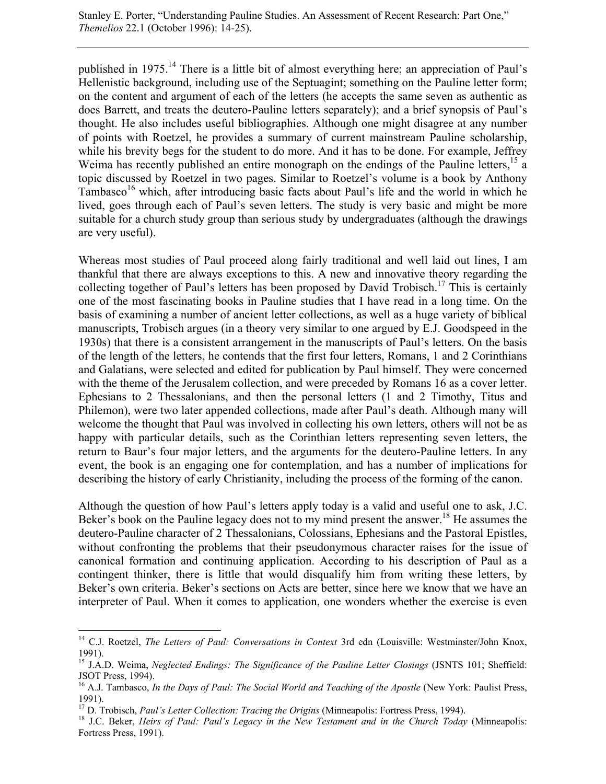published in 1975.<sup>14</sup> There is a little bit of almost everything here; an appreciation of Paul's Hellenistic background, including use of the Septuagint; something on the Pauline letter form; on the content and argument of each of the letters (he accepts the same seven as authentic as does Barrett, and treats the deutero-Pauline letters separately); and a brief synopsis of Paul's thought. He also includes useful bibliographies. Although one might disagree at any number of points with Roetzel, he provides a summary of current mainstream Pauline scholarship, while his brevity begs for the student to do more. And it has to be done. For example, Jeffrey Weima has recently published an entire monograph on the endings of the Pauline letters.<sup>15</sup> a topic discussed by Roetzel in two pages. Similar to Roetzel's volume is a book by Anthony Tambasco<sup>16</sup> which, after introducing basic facts about Paul's life and the world in which he lived, goes through each of Paul's seven letters. The study is very basic and might be more suitable for a church study group than serious study by undergraduates (although the drawings are very useful).

Whereas most studies of Paul proceed along fairly traditional and well laid out lines, I am thankful that there are always exceptions to this. A new and innovative theory regarding the collecting together of Paul's letters has been proposed by David Trobisch.<sup>17</sup> This is certainly one of the most fascinating books in Pauline studies that I have read in a long time. On the basis of examining a number of ancient letter collections, as well as a huge variety of biblical manuscripts, Trobisch argues (in a theory very similar to one argued by E.J. Goodspeed in the 1930s) that there is a consistent arrangement in the manuscripts of Paul's letters. On the basis of the length of the letters, he contends that the first four letters, Romans, 1 and 2 Corinthians and Galatians, were selected and edited for publication by Paul himself. They were concerned with the theme of the Jerusalem collection, and were preceded by Romans 16 as a cover letter. Ephesians to 2 Thessalonians, and then the personal letters (1 and 2 Timothy, Titus and Philemon), were two later appended collections, made after Paul's death. Although many will welcome the thought that Paul was involved in collecting his own letters, others will not be as happy with particular details, such as the Corinthian letters representing seven letters, the return to Baur's four major letters, and the arguments for the deutero-Pauline letters. In any event, the book is an engaging one for contemplation, and has a number of implications for describing the history of early Christianity, including the process of the forming of the canon.

Although the question of how Paul's letters apply today is a valid and useful one to ask, J.C. Beker's book on the Pauline legacy does not to my mind present the answer.<sup>18</sup> He assumes the deutero-Pauline character of 2 Thessalonians, Colossians, Ephesians and the Pastoral Epistles, without confronting the problems that their pseudonymous character raises for the issue of canonical formation and continuing application. According to his description of Paul as a contingent thinker, there is little that would disqualify him from writing these letters, by Beker's own criteria. Beker's sections on Acts are better, since here we know that we have an interpreter of Paul. When it comes to application, one wonders whether the exercise is even

 $\overline{a}$ 

<sup>&</sup>lt;sup>14</sup> C.J. Roetzel, *The Letters of Paul: Conversations in Context* 3rd edn (Louisville: Westminster/John Knox, 1991).

<sup>15</sup> J.A.D. Weima, *Neglected Endings: The Significance of the Pauline Letter Closings* (JSNTS 101; Sheffield: JSOT Press, 1994).

<sup>&</sup>lt;sup>16</sup> A.J. Tambasco, *In the Days of Paul: The Social World and Teaching of the Apostle* (New York: Paulist Press, 1991).<br><sup>17</sup> D. Trobisch, *Paul's Letter Collection: Tracing the Origins* (Minneapolis: Fortress Press, 1994).

<sup>&</sup>lt;sup>18</sup> J.C. Beker, *Heirs of Paul: Paul's Legacy in the New Testament and in the Church Today* (Minneapolis: Fortress Press, 1991).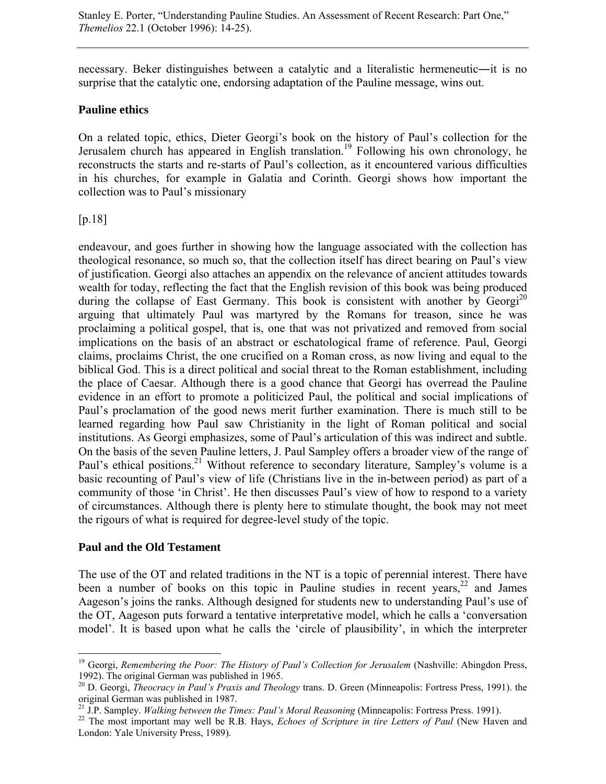necessary. Beker distinguishes between a catalytic and a literalistic hermeneutic―it is no surprise that the catalytic one, endorsing adaptation of the Pauline message, wins out.

#### **Pauline ethics**

On a related topic, ethics, Dieter Georgi's book on the history of Paul's collection for the Jerusalem church has appeared in English translation.<sup>19</sup> Following his own chronology, he reconstructs the starts and re-starts of Paul's collection, as it encountered various difficulties in his churches, for example in Galatia and Corinth. Georgi shows how important the collection was to Paul's missionary

[p.18]

endeavour, and goes further in showing how the language associated with the collection has theological resonance, so much so, that the collection itself has direct bearing on Paul's view of justification. Georgi also attaches an appendix on the relevance of ancient attitudes towards wealth for today, reflecting the fact that the English revision of this book was being produced during the collapse of East Germany. This book is consistent with another by Georgi<sup>20</sup> arguing that ultimately Paul was martyred by the Romans for treason, since he was proclaiming a political gospel, that is, one that was not privatized and removed from social implications on the basis of an abstract or eschatological frame of reference. Paul, Georgi claims, proclaims Christ, the one crucified on a Roman cross, as now living and equal to the biblical God. This is a direct political and social threat to the Roman establishment, including the place of Caesar. Although there is a good chance that Georgi has overread the Pauline evidence in an effort to promote a politicized Paul, the political and social implications of Paul's proclamation of the good news merit further examination. There is much still to be learned regarding how Paul saw Christianity in the light of Roman political and social institutions. As Georgi emphasizes, some of Paul's articulation of this was indirect and subtle. On the basis of the seven Pauline letters, J. Paul Sampley offers a broader view of the range of Paul's ethical positions.<sup>21</sup> Without reference to secondary literature, Sampley's volume is a basic recounting of Paul's view of life (Christians live in the in-between period) as part of a community of those 'in Christ'. He then discusses Paul's view of how to respond to a variety of circumstances. Although there is plenty here to stimulate thought, the book may not meet the rigours of what is required for degree-level study of the topic.

#### **Paul and the Old Testament**

 $\overline{a}$ 

The use of the OT and related traditions in the NT is a topic of perennial interest. There have been a number of books on this topic in Pauline studies in recent years,  $2^2$  and James Aageson's joins the ranks. Although designed for students new to understanding Paul's use of the OT, Aageson puts forward a tentative interpretative model, which he calls a 'conversation model'. It is based upon what he calls the 'circle of plausibility', in which the interpreter

<sup>&</sup>lt;sup>19</sup> Georgi, *Remembering the Poor: The History of Paul's Collection for Jerusalem* (Nashville: Abingdon Press, 1992). The original German was published in 1965.

<sup>20</sup> D. Georgi, *Theocracy in Paul's Praxis and Theology* trans. D. Green (Minneapolis: Fortress Press, 1991). the original German was published in 1987.<br><sup>21</sup> J.P. Sampley. *Walking between the Times: Paul's Moral Reasoning* (Minneapolis: Fortress Press. 1991).

<sup>&</sup>lt;sup>22</sup> The most important may well be R.B. Hays, *Echoes of Scripture in tire Letters of Paul* (New Haven and London: Yale University Press, 1989).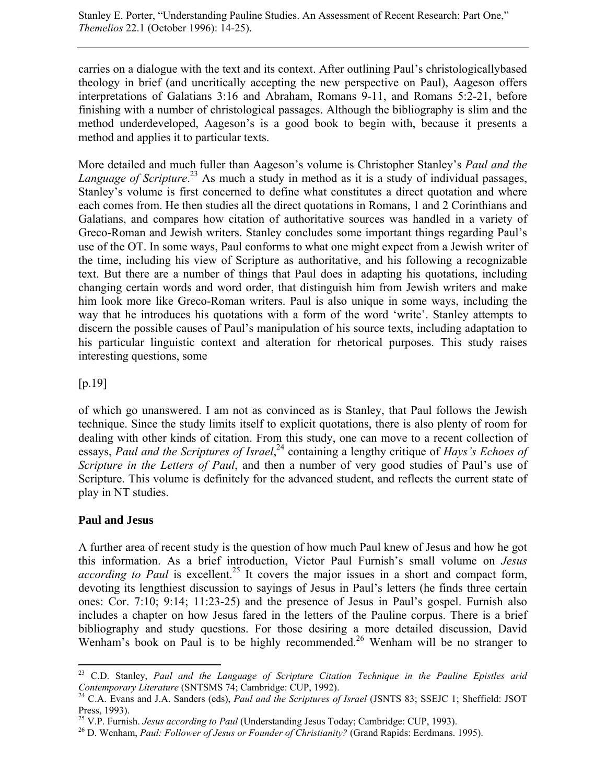carries on a dialogue with the text and its context. After outlining Paul's christologicallybased theology in brief (and uncritically accepting the new perspective on Paul), Aageson offers interpretations of Galatians 3:16 and Abraham, Romans 9-11, and Romans 5:2-21, before finishing with a number of christological passages. Although the bibliography is slim and the method underdeveloped, Aageson's is a good book to begin with, because it presents a method and applies it to particular texts.

More detailed and much fuller than Aageson's volume is Christopher Stanley's *Paul and the* Language of Scripture.<sup>23</sup> As much a study in method as it is a study of individual passages, Stanley's volume is first concerned to define what constitutes a direct quotation and where each comes from. He then studies all the direct quotations in Romans, 1 and 2 Corinthians and Galatians, and compares how citation of authoritative sources was handled in a variety of Greco-Roman and Jewish writers. Stanley concludes some important things regarding Paul's use of the OT. In some ways, Paul conforms to what one might expect from a Jewish writer of the time, including his view of Scripture as authoritative, and his following a recognizable text. But there are a number of things that Paul does in adapting his quotations, including changing certain words and word order, that distinguish him from Jewish writers and make him look more like Greco-Roman writers. Paul is also unique in some ways, including the way that he introduces his quotations with a form of the word 'write'. Stanley attempts to discern the possible causes of Paul's manipulation of his source texts, including adaptation to his particular linguistic context and alteration for rhetorical purposes. This study raises interesting questions, some

#### [p.19]

of which go unanswered. I am not as convinced as is Stanley, that Paul follows the Jewish technique. Since the study limits itself to explicit quotations, there is also plenty of room for dealing with other kinds of citation. From this study, one can move to a recent collection of essays, Paul and the Scriptures of Israel,<sup>24</sup> containing a lengthy critique of *Hays's Echoes of Scripture in the Letters of Paul*, and then a number of very good studies of Paul's use of Scripture. This volume is definitely for the advanced student, and reflects the current state of play in NT studies.

# **Paul and Jesus**

 $\overline{a}$ 

A further area of recent study is the question of how much Paul knew of Jesus and how he got this information. As a brief introduction, Victor Paul Furnish's small volume on *Jesus according to Paul* is excellent.<sup>25</sup> It covers the major issues in a short and compact form, devoting its lengthiest discussion to sayings of Jesus in Paul's letters (he finds three certain ones: Cor. 7:10; 9:14; 11:23-25) and the presence of Jesus in Paul's gospel. Furnish also includes a chapter on how Jesus fared in the letters of the Pauline corpus. There is a brief bibliography and study questions. For those desiring a more detailed discussion, David Wenham's book on Paul is to be highly recommended.<sup>26</sup> Wenham will be no stranger to

<sup>23</sup> C.D. Stanley, *Paul and the Language of Scripture Citation Technique in the Pauline Epistles arid Contemporary Literature* (SNTSMS 74; Cambridge: CUP, 1992). 24 C.A. Evans and J.A. Sanders (eds), *Paul and the Scriptures of Israel* (JSNTS 83; SSEJC 1; Sheffield: JSOT

Press, 1993).

<sup>&</sup>lt;sup>25</sup> V.P. Furnish. *Jesus according to Paul* (Understanding Jesus Today; Cambridge: CUP, 1993).<br><sup>26</sup> D. Wenham, *Paul: Follower of Jesus or Founder of Christianity?* (Grand Rapids: Eerdmans. 1995).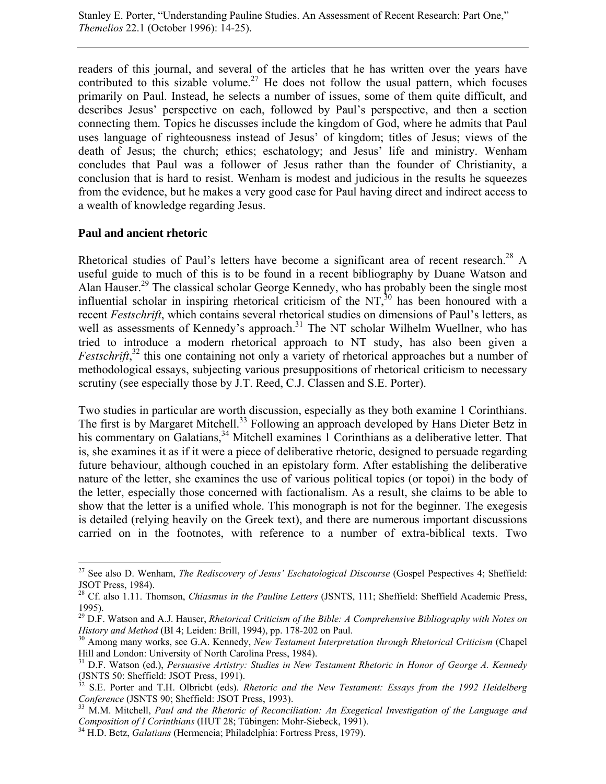readers of this journal, and several of the articles that he has written over the years have contributed to this sizable volume.<sup>27</sup> He does not follow the usual pattern, which focuses primarily on Paul. Instead, he selects a number of issues, some of them quite difficult, and describes Jesus' perspective on each, followed by Paul's perspective, and then a section connecting them. Topics he discusses include the kingdom of God, where he admits that Paul uses language of righteousness instead of Jesus' of kingdom; titles of Jesus; views of the death of Jesus; the church; ethics; eschatology; and Jesus' life and ministry. Wenham concludes that Paul was a follower of Jesus rather than the founder of Christianity, a conclusion that is hard to resist. Wenham is modest and judicious in the results he squeezes from the evidence, but he makes a very good case for Paul having direct and indirect access to a wealth of knowledge regarding Jesus.

#### **Paul and ancient rhetoric**

 $\overline{a}$ 

Rhetorical studies of Paul's letters have become a significant area of recent research.<sup>28</sup> A useful guide to much of this is to be found in a recent bibliography by Duane Watson and Alan Hauser.<sup>29</sup> The classical scholar George Kennedy, who has probably been the single most influential scholar in inspiring rhetorical criticism of the  $NT<sub>1</sub><sup>30</sup>$  has been honoured with a recent *Festschrift*, which contains several rhetorical studies on dimensions of Paul's letters, as well as assessments of Kennedy's approach.<sup>31</sup> The NT scholar Wilhelm Wuellner, who has tried to introduce a modern rhetorical approach to NT study, has also been given a Festschrift,<sup>32</sup> this one containing not only a variety of rhetorical approaches but a number of methodological essays, subjecting various presuppositions of rhetorical criticism to necessary scrutiny (see especially those by J.T. Reed, C.J. Classen and S.E. Porter).

Two studies in particular are worth discussion, especially as they both examine 1 Corinthians. The first is by Margaret Mitchell.<sup>33</sup> Following an approach developed by Hans Dieter Betz in his commentary on Galatians,<sup>34</sup> Mitchell examines 1 Corinthians as a deliberative letter. That is, she examines it as if it were a piece of deliberative rhetoric, designed to persuade regarding future behaviour, although couched in an epistolary form. After establishing the deliberative nature of the letter, she examines the use of various political topics (or topoi) in the body of the letter, especially those concerned with factionalism. As a result, she claims to be able to show that the letter is a unified whole. This monograph is not for the beginner. The exegesis is detailed (relying heavily on the Greek text), and there are numerous important discussions carried on in the footnotes, with reference to a number of extra-biblical texts. Two

<sup>27</sup> See also D. Wenham, *The Rediscovery of Jesus' Eschatological Discourse* (Gospel Pespectives 4; Sheffield: JSOT Press, 1984).

<sup>28</sup> Cf. also 1.11. Thomson, *Chiasmus in the Pauline Letters* (JSNTS, 111; Sheffield: Sheffield Academic Press, 1995).

<sup>29</sup> D.F. Watson and A.J. Hauser, *Rhetorical Criticism of the Bible: A Comprehensive Bibliography with Notes on History and Method* (BI 4; Leiden: Brill, 1994), pp. 178-202 on Paul.<br><sup>30</sup> Among many works, see G.A. Kennedy, *New Testament Interpretation through Rhetorical Criticism* (Chapel

Hill and London: University of North Carolina Press, 1984).<br><sup>31</sup> D.F. Watson (ed.), *Persuasive Artistry: Studies in New Testament Rhetoric in Honor of George A. Kennedy* 

<sup>(</sup>JSNTS 50: Sheffield: JSOT Press, 1991).

<sup>&</sup>lt;sup>32</sup> S.E. Porter and T.H. Olbricbt (eds). *Rhetoric and the New Testament: Essays from the 1992 Heidelberg Conference* (JSNTS 90; Sheffield: JSOT Press, 1993).<br><sup>33</sup> M.M. Mitchell, *Paul and the Rhetoric of Reconciliation: An Exegetical Investigation of the Language and* 

*Composition of I Corinthians* (HUT 28; Tübingen: Mohr-Siebeck, 1991). 34 H.D. Betz, *Galatians* (Hermeneia; Philadelphia: Fortress Press, 1979).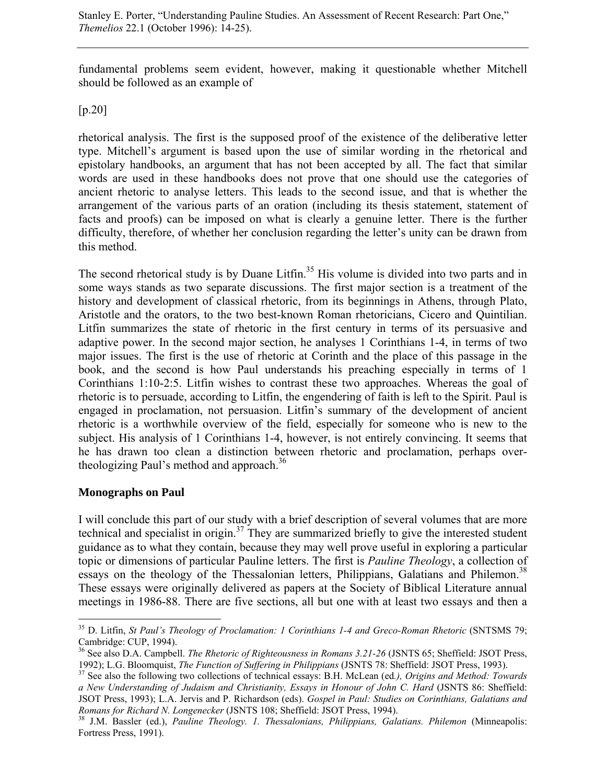fundamental problems seem evident, however, making it questionable whether Mitchell should be followed as an example of

[p.20]

rhetorical analysis. The first is the supposed proof of the existence of the deliberative letter type. Mitchell's argument is based upon the use of similar wording in the rhetorical and epistolary handbooks, an argument that has not been accepted by all. The fact that similar words are used in these handbooks does not prove that one should use the categories of ancient rhetoric to analyse letters. This leads to the second issue, and that is whether the arrangement of the various parts of an oration (including its thesis statement, statement of facts and proofs) can be imposed on what is clearly a genuine letter. There is the further difficulty, therefore, of whether her conclusion regarding the letter's unity can be drawn from this method.

The second rhetorical study is by Duane Litfin.<sup>35</sup> His volume is divided into two parts and in some ways stands as two separate discussions. The first major section is a treatment of the history and development of classical rhetoric, from its beginnings in Athens, through Plato, Aristotle and the orators, to the two best-known Roman rhetoricians, Cicero and Quintilian. Litfin summarizes the state of rhetoric in the first century in terms of its persuasive and adaptive power. In the second major section, he analyses 1 Corinthians 1-4, in terms of two major issues. The first is the use of rhetoric at Corinth and the place of this passage in the book, and the second is how Paul understands his preaching especially in terms of 1 Corinthians 1:10-2:5. Litfin wishes to contrast these two approaches. Whereas the goal of rhetoric is to persuade, according to Litfin, the engendering of faith is left to the Spirit. Paul is engaged in proclamation, not persuasion. Litfin's summary of the development of ancient rhetoric is a worthwhile overview of the field, especially for someone who is new to the subject. His analysis of 1 Corinthians 1-4, however, is not entirely convincing. It seems that he has drawn too clean a distinction between rhetoric and proclamation, perhaps overtheologizing Paul's method and approach.<sup>36</sup>

# **Monographs on Paul**

 $\overline{a}$ 

I will conclude this part of our study with a brief description of several volumes that are more technical and specialist in origin.<sup>37</sup> They are summarized briefly to give the interested student guidance as to what they contain, because they may well prove useful in exploring a particular topic or dimensions of particular Pauline letters. The first is *Pauline Theology*, a collection of essays on the theology of the Thessalonian letters, Philippians, Galatians and Philemon.<sup>38</sup> These essays were originally delivered as papers at the Society of Biblical Literature annual meetings in 1986-88. There are five sections, all but one with at least two essays and then a

<sup>35</sup> D. Litfin, *St Paul's Theology of Proclamation: 1 Corinthians 1-4 and Greco-Roman Rhetoric* (SNTSMS 79; Cambridge: CUP, 1994).

<sup>&</sup>lt;sup>36</sup> See also D.A. Campbell. *The Rhetoric of Righteousness in Romans 3.21-26* (JSNTS 65; Sheffield: JSOT Press, 1992); L.G. Bloomquist, *The Function of Suffering in Philippians* (JSNTS 78: Sheffield: JSOT Press, 1993).

<sup>&</sup>lt;sup>37</sup> See also the following two collections of technical essays: B.H. McLean (ed.), Origins and Method: Towards *a New Understanding of Judaism and Christianity, Essays in Honour of John C. Hard* (JSNTS 86: Sheffield: JSOT Press, 1993); L.A. Jervis and P. Richardson (eds). *Gospel in Paul: Studies on Corinthians, Galatians and*

*Romans for Richard N. Longenecker* (JSNTS 108; Sheffield: JSOT Press, 1994).<br><sup>38</sup> J.M. Bassler (ed.), *Pauline Theology. 1. Thessalonians, Philippians, Galatians. Philemon* (Minneapolis: Fortress Press, 1991).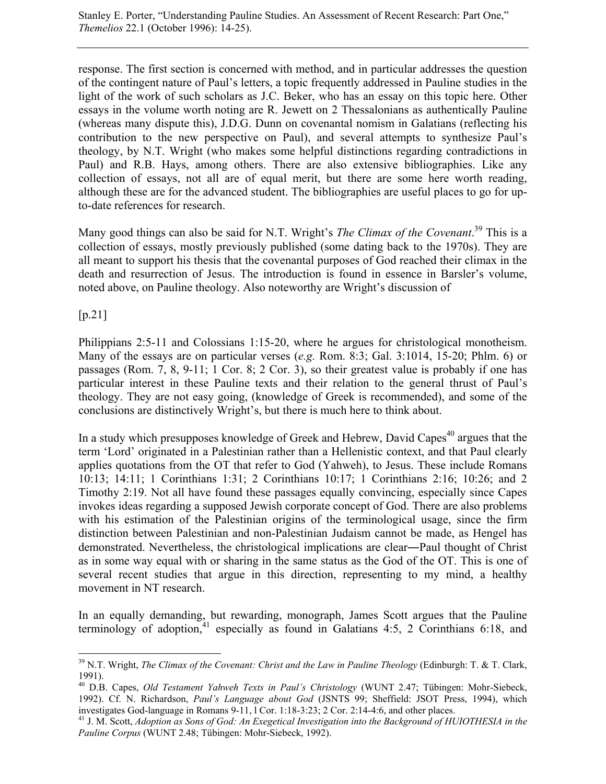response. The first section is concerned with method, and in particular addresses the question of the contingent nature of Paul's letters, a topic frequently addressed in Pauline studies in the light of the work of such scholars as J.C. Beker, who has an essay on this topic here. Other essays in the volume worth noting are R. Jewett on 2 Thessalonians as authentically Pauline (whereas many dispute this), J.D.G. Dunn on covenantal nomism in Galatians (reflecting his contribution to the new perspective on Paul), and several attempts to synthesize Paul's theology, by N.T. Wright (who makes some helpful distinctions regarding contradictions in Paul) and R.B. Hays, among others. There are also extensive bibliographies. Like any collection of essays, not all are of equal merit, but there are some here worth reading, although these are for the advanced student. The bibliographies are useful places to go for upto-date references for research.

Many good things can also be said for N.T. Wright's *The Climax of the Covenant*. 39 This is a collection of essays, mostly previously published (some dating back to the 1970s). They are all meant to support his thesis that the covenantal purposes of God reached their climax in the death and resurrection of Jesus. The introduction is found in essence in Barsler's volume, noted above, on Pauline theology. Also noteworthy are Wright's discussion of

[p.21]

 $\overline{a}$ 

Philippians 2:5-11 and Colossians 1:15-20, where he argues for christological monotheism. Many of the essays are on particular verses (*e.g.* Rom. 8:3; Gal. 3:1014, 15-20; Phlm. 6) or passages (Rom. 7, 8, 9-11; 1 Cor. 8; 2 Cor. 3), so their greatest value is probably if one has particular interest in these Pauline texts and their relation to the general thrust of Paul's theology. They are not easy going, (knowledge of Greek is recommended), and some of the conclusions are distinctively Wright's, but there is much here to think about.

In a study which presupposes knowledge of Greek and Hebrew, David Capes<sup>40</sup> argues that the term 'Lord' originated in a Palestinian rather than a Hellenistic context, and that Paul clearly applies quotations from the OT that refer to God (Yahweh), to Jesus. These include Romans 10:13; 14:11; 1 Corinthians 1:31; 2 Corinthians 10:17; 1 Corinthians 2:16; 10:26; and 2 Timothy 2:19. Not all have found these passages equally convincing, especially since Capes invokes ideas regarding a supposed Jewish corporate concept of God. There are also problems with his estimation of the Palestinian origins of the terminological usage, since the firm distinction between Palestinian and non-Palestinian Judaism cannot be made, as Hengel has demonstrated. Nevertheless, the christological implications are clear―Paul thought of Christ as in some way equal with or sharing in the same status as the God of the OT. This is one of several recent studies that argue in this direction, representing to my mind, a healthy movement in NT research.

In an equally demanding, but rewarding, monograph, James Scott argues that the Pauline terminology of adoption, $41$  especially as found in Galatians 4:5, 2 Corinthians 6:18, and

<sup>39</sup> N.T. Wright, *The Climax of the Covenant: Christ and the Law in Pauline Theology* (Edinburgh: T. & T. Clark, 1991).

<sup>40</sup> D.B. Capes, *Old Testament Yahweh Texts in Paul's Christology* (WUNT 2.47; Tübingen: Mohr-Siebeck, 1992). Cf. N. Richardson, *Paul's Language about God* (JSNTS 99; Sheffield: JSOT Press, 1994), which

investigates God-language in Romans 9-11, l Cor. 1:18-3:23; 2 Cor. 2:14-4:6, and other places. 41 J. M. Scott, *Adoption as Sons of God: An Exegetical Investigation into the Background of HUIOTHESIA in the Pauline Corpus* (WUNT 2.48; Tübingen: Mohr-Siebeck, 1992).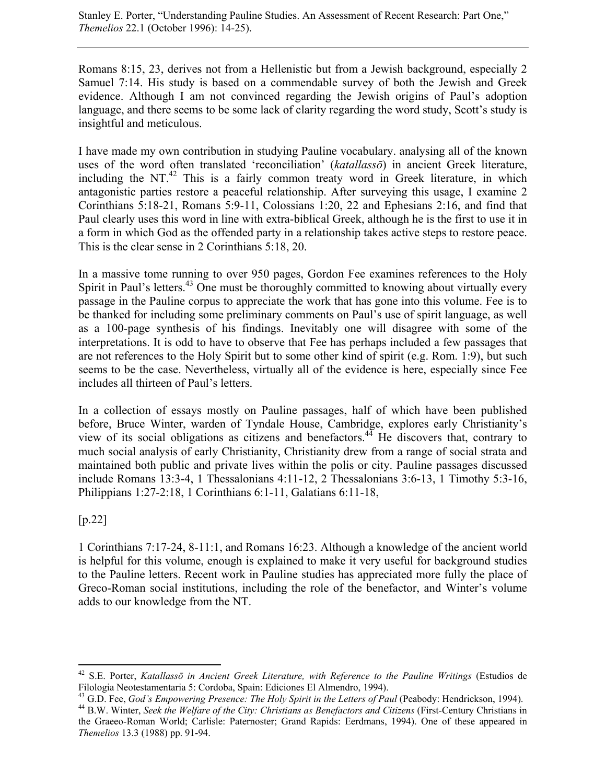Romans 8:15, 23, derives not from a Hellenistic but from a Jewish background, especially 2 Samuel 7:14. His study is based on a commendable survey of both the Jewish and Greek evidence. Although I am not convinced regarding the Jewish origins of Paul's adoption language, and there seems to be some lack of clarity regarding the word study, Scott's study is insightful and meticulous.

I have made my own contribution in studying Pauline vocabulary. analysing all of the known uses of the word often translated 'reconciliation' (*katallassō*) in ancient Greek literature, including the  $NT<sup>42</sup>$  This is a fairly common treaty word in Greek literature, in which antagonistic parties restore a peaceful relationship. After surveying this usage, I examine 2 Corinthians 5:18-21, Romans 5:9-11, Colossians 1:20, 22 and Ephesians 2:16, and find that Paul clearly uses this word in line with extra-biblical Greek, although he is the first to use it in a form in which God as the offended party in a relationship takes active steps to restore peace. This is the clear sense in 2 Corinthians 5:18, 20.

In a massive tome running to over 950 pages, Gordon Fee examines references to the Holy Spirit in Paul's letters.<sup>43</sup> One must be thoroughly committed to knowing about virtually every passage in the Pauline corpus to appreciate the work that has gone into this volume. Fee is to be thanked for including some preliminary comments on Paul's use of spirit language, as well as a 100-page synthesis of his findings. Inevitably one will disagree with some of the interpretations. It is odd to have to observe that Fee has perhaps included a few passages that are not references to the Holy Spirit but to some other kind of spirit (e.g. Rom. 1:9), but such seems to be the case. Nevertheless, virtually all of the evidence is here, especially since Fee includes all thirteen of Paul's letters.

In a collection of essays mostly on Pauline passages, half of which have been published before, Bruce Winter, warden of Tyndale House, Cambridge, explores early Christianity's view of its social obligations as citizens and benefactors.44 He discovers that, contrary to much social analysis of early Christianity, Christianity drew from a range of social strata and maintained both public and private lives within the polis or city. Pauline passages discussed include Romans 13:3-4, 1 Thessalonians 4:11-12, 2 Thessalonians 3:6-13, 1 Timothy 5:3-16, Philippians 1:27-2:18, 1 Corinthians 6:1-11, Galatians 6:11-18,

[p.22]

 $\overline{a}$ 

1 Corinthians 7:17-24, 8-11:1, and Romans 16:23. Although a knowledge of the ancient world is helpful for this volume, enough is explained to make it very useful for background studies to the Pauline letters. Recent work in Pauline studies has appreciated more fully the place of Greco-Roman social institutions, including the role of the benefactor, and Winter's volume adds to our knowledge from the NT.

<sup>42</sup> S.E. Porter, *Katallassō in Ancient Greek Literature, with Reference to the Pauline Writings* (Estudios de Filologia Neotestamentaria 5: Cordoba, Spain: Ediciones El Almendro, 1994).<br><sup>43</sup> G.D. Fee, *God's Empowering Presence: The Holy Spirit in the Letters of Paul* (Peabody: Hendrickson, 1994).

<sup>&</sup>lt;sup>44</sup> B.W. Winter, Seek the Welfare of the City: Christians as Benefactors and Citizens (First-Century Christians in the Graeeo-Roman World; Carlisle: Paternoster; Grand Rapids: Eerdmans, 1994). One of these appeared in *Themelios* 13.3 (1988) pp. 91-94.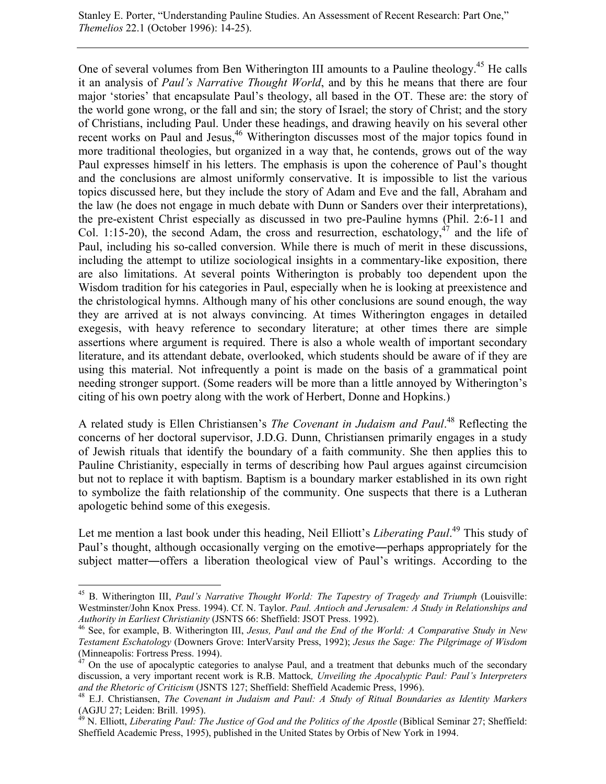Stanley E. Porter, "Understanding Pauline Studies. An Assessment of Recent Research: Part One," *Themelios* 22.1 (October 1996): 14-25).

One of several volumes from Ben Witherington III amounts to a Pauline theology.<sup>45</sup> He calls it an analysis of *Paul's Narrative Thought World*, and by this he means that there are four major 'stories' that encapsulate Paul's theology, all based in the OT. These are: the story of the world gone wrong, or the fall and sin; the story of Israel; the story of Christ; and the story of Christians, including Paul. Under these headings, and drawing heavily on his several other recent works on Paul and Jesus,<sup>46</sup> Witherington discusses most of the major topics found in more traditional theologies, but organized in a way that, he contends, grows out of the way Paul expresses himself in his letters. The emphasis is upon the coherence of Paul's thought and the conclusions are almost uniformly conservative. It is impossible to list the various topics discussed here, but they include the story of Adam and Eve and the fall, Abraham and the law (he does not engage in much debate with Dunn or Sanders over their interpretations), the pre-existent Christ especially as discussed in two pre-Pauline hymns (Phil. 2:6-11 and Col. 1:15-20), the second Adam, the cross and resurrection, eschatology,  $47$  and the life of Paul, including his so-called conversion. While there is much of merit in these discussions, including the attempt to utilize sociological insights in a commentary-like exposition, there are also limitations. At several points Witherington is probably too dependent upon the Wisdom tradition for his categories in Paul, especially when he is looking at preexistence and the christological hymns. Although many of his other conclusions are sound enough, the way they are arrived at is not always convincing. At times Witherington engages in detailed exegesis, with heavy reference to secondary literature; at other times there are simple assertions where argument is required. There is also a whole wealth of important secondary literature, and its attendant debate, overlooked, which students should be aware of if they are using this material. Not infrequently a point is made on the basis of a grammatical point needing stronger support. (Some readers will be more than a little annoyed by Witherington's citing of his own poetry along with the work of Herbert, Donne and Hopkins.)

A related study is Ellen Christiansen's *The Covenant in Judaism and Paul*. 48 Reflecting the concerns of her doctoral supervisor, J.D.G. Dunn, Christiansen primarily engages in a study of Jewish rituals that identify the boundary of a faith community. She then applies this to Pauline Christianity, especially in terms of describing how Paul argues against circumcision but not to replace it with baptism. Baptism is a boundary marker established in its own right to symbolize the faith relationship of the community. One suspects that there is a Lutheran apologetic behind some of this exegesis.

Let me mention a last book under this heading, Neil Elliott's *Liberating Paul*. 49 This study of Paul's thought, although occasionally verging on the emotive―perhaps appropriately for the subject matter―offers a liberation theological view of Paul's writings. According to the

 $\overline{a}$ 

<sup>45</sup> B. Witherington III, *Paul's Narrative Thought World: The Tapestry of Tragedy and Triumph* (Louisville: Westminster/John Knox Press. 1994). Cf. N. Taylor. *Paul. Antioch and Jerusalem: A Study in Relationships and Authority in Earliest Christianity* (JSNTS 66: Sheffield: JSOT Press. 1992). 46 See, for example, B. Witherington III, *Jesus, Paul and the End of the World: A Comparative Study in New*

*Testament Eschatology* (Downers Grove: InterVarsity Press, 1992); *Jesus the Sage: The Pilgrimage of Wisdom* (Minneapolis: Fortress Press. 1994).

<sup>&</sup>lt;sup>47</sup> On the use of apocalyptic categories to analyse Paul, and a treatment that debunks much of the secondary discussion, a very important recent work is R.B. Mattock*, Unveiling the Apocalyptic Paul: Paul's Interpreters and the Rhetoric of Criticism* (JSNTS 127; Sheffield: Sheffield Academic Press, 1996). 48 E.J. Christiansen, *The Covenant in Judaism and Paul: A Study of Ritual Boundaries as Identity Markers*

<sup>(</sup>AGJU 27; Leiden: Brill. 1995).

<sup>49</sup> N. Elliott, *Liberating Paul: The Justice of God and the Politics of the Apostle* (Biblical Seminar 27; Sheffield: Sheffield Academic Press, 1995), published in the United States by Orbis of New York in 1994.